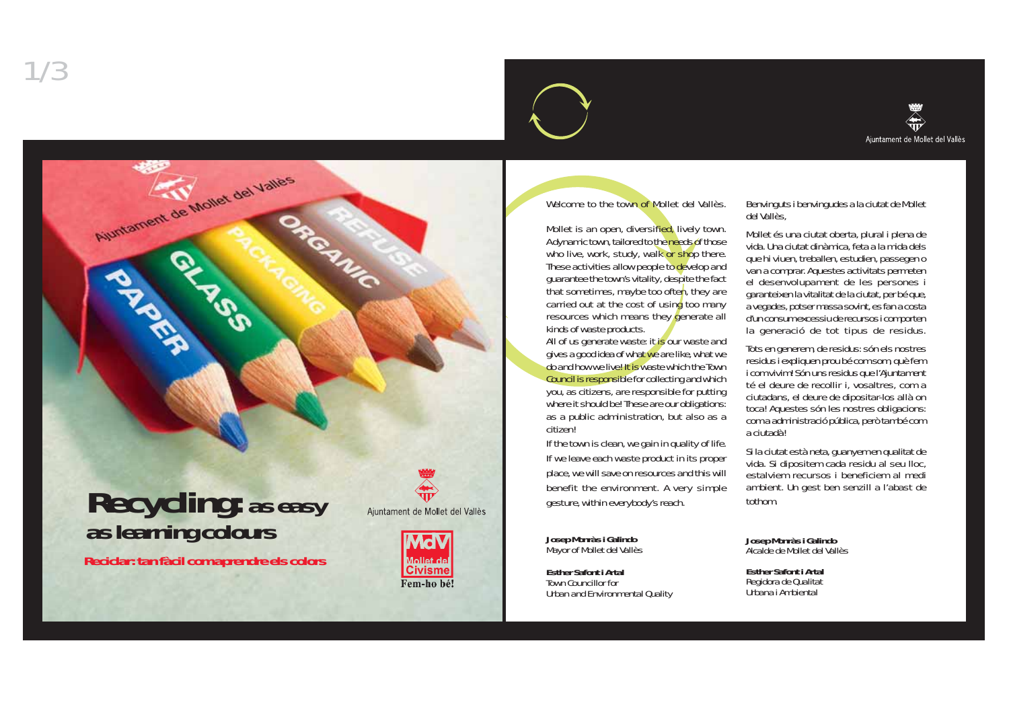



## Welcome to the town of Mollet del Vallès.

Mollet is an open, diversified, lively town. A dynamic town, tailored to the needs of those who live, work, study, walk or shop there. These activities allow people to develop and guarantee the town's vitality, despite the fact that sometimes, maybe too often, they are carried out at the cost of using too many resources which means they generate all kinds of waste products.

All of us generate waste: it is our waste and gives a good idea of what we are like, what we do and how we live! It is waste which the Town Council is responsible for collecting and which you, as citizens, are responsible for putting where it should be! These are our obligations: as a public administration, but also as a citizen!

If the town is clean, we gain in quality of life. If we leave each waste product in its proper place, we will save on resources and this will benefit the environment. A very simple gesture, within everybody's reach.

**Josep Monràs i Galindo** Mayor of Mollet del Vallès

**Esther Safont i Artal** Town Councillor for Urban and Environmental Quality Benvinguts i benvingudes a la ciutat de Mollet del Vallès,

Mollet és una ciutat oberta, plural i plena de vida. Una ciutat dinàmica, feta a la mida dels que hi viuen, treballen, estudien, passegen o van a comprar. Aquestes activitats permeten el desenvolupament de les persones i garanteixen la vitalitat de la ciutat, per bé que, a vegades, potser massa sovint, es fan a costa d'un consum excessiu de recursos i comporten la generació de tot tipus de residus.

Tots en generem, de residus: són els nostres residus i expliquen prou bé com som, què fem i com vivim! Són uns residus que l'Ajuntament té el deure de recollir i, vosaltres, com a ciutadans, el deure de dipositar-los allà on toca! Aquestes són les nostres obligacions: com a administració pública, però també com a ciutadà!

Si la ciutat està neta, guanyem en qualitat de vida. Si dipositem cada residu al seu lloc, estalviem recursos i beneficiem al medi ambient. Un gest ben senzill a l'abast de tothom.

**Josep Monràs i Galindo** Alcalde de Mollet del Vallès

**Esther Safont i Artal** Regidora de Qualitat Urbana i Ambiental

**Recycling: as easy as learning colours**

Ajuntament de Mollet del Valles

**Reciclar: tan fàcil com aprendre els colors**



Ajuntament de Mollet del Vallès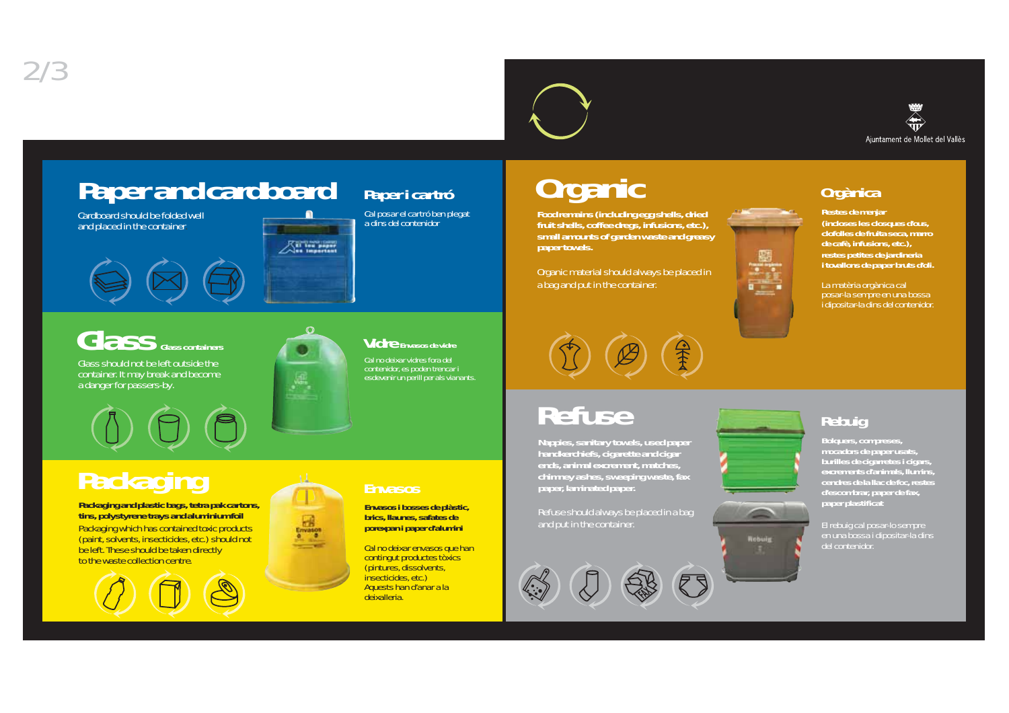



## **Paper and cardboard**

Cardboard should be folded well and placed in the container.





## **Glass** Glass containers

Glass should not be left outside the container. It may break and become a danger for passers-by.





*Paper i cartró*

*Vidre Envasos de vidre Cal no deixar vidres fora del esdevenir un perill per als vianants.*

## **Organic**

**Food remains (including egg shells, dried fruit shells, coffee dregs, infusions, etc.), small amounts of garden waste and greasy paper towels.**

Organic material should always be placed in a bag and put in the container.



## **Refuse**

**Nappies, sanitary towels, used paper handkerchiefs, cigarette and cigar ends, animal excrement, matches, chimney ashes, sweeping waste, fax paper, laminated paper.**

and put in the container.





Rebuig

*Restes de menjar (incloses les closques d'ous, clofolles de fruita seca, marro de cafè, infusions, etc.),*

*Orgànica*

*restes petites de jardineria i tovallons de paper bruts d'oli.*

*La matèria orgànica cal posar-la sempre en una bossa i dipositar-la dins del contenidor.*

### *Rebuig*

*Bolquers, compreses, mocadors de paper usats, burilles de cigarretes i cigars, excrements d'animals, llumins, cendres de la llac de foc, restes d'escombrar, paper de fax, paper plastificat*

*El rebuig cal posar-lo sempre en una bossa i dipositar-la dins del contenidor.*

## **Packaging**

**Packaging and plastic bags, tetra pak cartons, tins, polystyrene trays and aluminium foil** Packaging which has contained toxic products (paint, solvents, insecticides, etc.) should not be left. These should be taken directly to the waste collection centre.



#### *Envasos i bosses de plàstic, brics, llaunes, safates de porexpan i paper d'alumini*

*Cal no deixar envasos que han contingut productes tòxics (pintures, dissolvents, insecticides, etc.) Aquests han d'anar a la deixalleria.*

*Envasos*